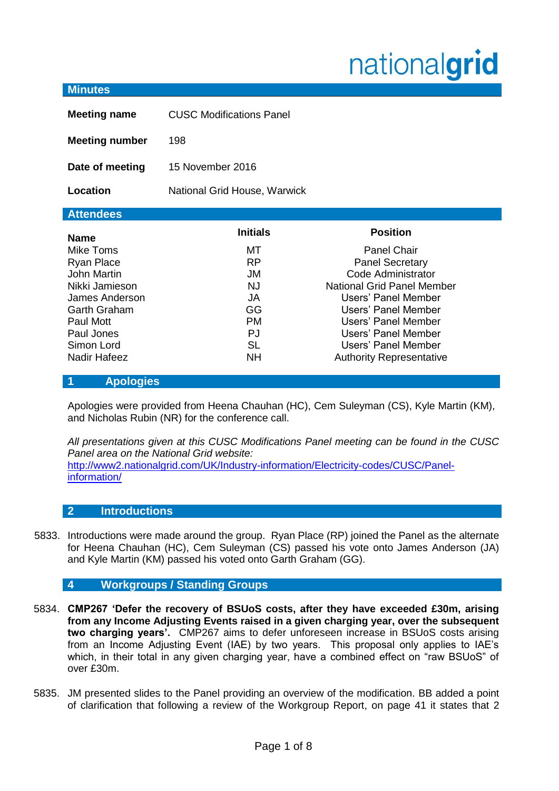# nationalgrid

| <b>Minutes</b>                                                                                                                                                                   |                                                                                                    |                                                                                                                                                                                                                                                                           |  |  |  |  |
|----------------------------------------------------------------------------------------------------------------------------------------------------------------------------------|----------------------------------------------------------------------------------------------------|---------------------------------------------------------------------------------------------------------------------------------------------------------------------------------------------------------------------------------------------------------------------------|--|--|--|--|
| <b>Meeting name</b>                                                                                                                                                              | <b>CUSC Modifications Panel</b>                                                                    |                                                                                                                                                                                                                                                                           |  |  |  |  |
| <b>Meeting number</b>                                                                                                                                                            | 198                                                                                                |                                                                                                                                                                                                                                                                           |  |  |  |  |
| Date of meeting                                                                                                                                                                  | 15 November 2016                                                                                   |                                                                                                                                                                                                                                                                           |  |  |  |  |
| Location                                                                                                                                                                         | National Grid House, Warwick                                                                       |                                                                                                                                                                                                                                                                           |  |  |  |  |
| <b>Attendees</b>                                                                                                                                                                 |                                                                                                    |                                                                                                                                                                                                                                                                           |  |  |  |  |
| <b>Name</b><br>Mike Toms<br><b>Ryan Place</b><br><b>John Martin</b><br>Nikki Jamieson<br>James Anderson<br>Garth Graham<br>Paul Mott<br>Paul Jones<br>Simon Lord<br>Nadir Hafeez | <b>Initials</b><br>МT<br><b>RP</b><br>JM<br>NJ.<br>JA<br>GG<br>PM.<br><b>PJ</b><br>SL<br><b>NH</b> | <b>Position</b><br><b>Panel Chair</b><br><b>Panel Secretary</b><br>Code Administrator<br>National Grid Panel Member<br>Users' Panel Member<br>Users' Panel Member<br>Users' Panel Member<br>Users' Panel Member<br>Users' Panel Member<br><b>Authority Representative</b> |  |  |  |  |

### **1 Apologies**

5754. Apologies were provided from Heena Chauhan (HC), Cem Suleyman (CS), Kyle Martin (KM), and Nicholas Rubin (NR) for the conference call.

*All presentations given at this CUSC Modifications Panel meeting can be found in the CUSC Panel area on the National Grid website:*  [http://www2.nationalgrid.com/UK/Industry-information/Electricity-codes/CUSC/Panel](http://www2.nationalgrid.com/UK/Industry-information/Electricity-codes/CUSC/Panel-information/)[information/](http://www2.nationalgrid.com/UK/Industry-information/Electricity-codes/CUSC/Panel-information/)

#### **2 Introductions**

5833. Introductions were made around the group. Ryan Place (RP) joined the Panel as the alternate for Heena Chauhan (HC), Cem Suleyman (CS) passed his vote onto James Anderson (JA) and Kyle Martin (KM) passed his voted onto Garth Graham (GG).

## **4 Workgroups / Standing Groups**

- 5834. **CMP267 'Defer the recovery of BSUoS costs, after they have exceeded £30m, arising from any Income Adjusting Events raised in a given charging year, over the subsequent two charging years'.** CMP267 aims to defer unforeseen increase in BSUoS costs arising from an Income Adjusting Event (IAE) by two years. This proposal only applies to IAE's which, in their total in any given charging year, have a combined effect on "raw BSUoS" of over £30m.
- 5835. JM presented slides to the Panel providing an overview of the modification. BB added a point of clarification that following a review of the Workgroup Report, on page 41 it states that 2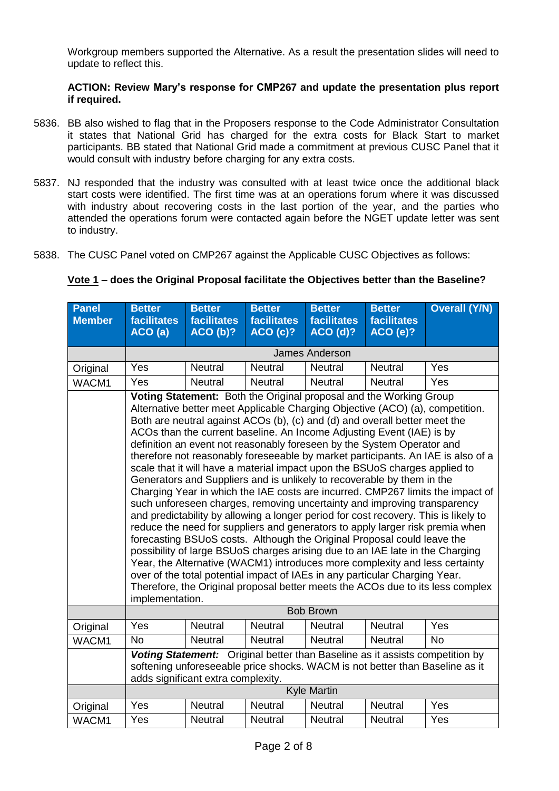Workgroup members supported the Alternative. As a result the presentation slides will need to update to reflect this.

#### **ACTION: Review Mary's response for CMP267 and update the presentation plus report if required.**

- 5836. BB also wished to flag that in the Proposers response to the Code Administrator Consultation it states that National Grid has charged for the extra costs for Black Start to market participants. BB stated that National Grid made a commitment at previous CUSC Panel that it would consult with industry before charging for any extra costs.
- 5837. NJ responded that the industry was consulted with at least twice once the additional black start costs were identified. The first time was at an operations forum where it was discussed with industry about recovering costs in the last portion of the year, and the parties who attended the operations forum were contacted again before the NGET update letter was sent to industry.
- 5838. The CUSC Panel voted on CMP267 against the Applicable CUSC Objectives as follows:

| <u>Vote 1</u> – does the Original Proposal facilitate the Objectives better than the Baseline? |  |  |  |
|------------------------------------------------------------------------------------------------|--|--|--|
|                                                                                                |  |  |  |

| Panel<br><b>Member</b> | <b>Better</b><br><b>facilitates</b>                                                                                                                                                                                                                                                                                                                                                                                                                                                                                                                                                                                                                                                                                                                                                                                                                                                                                                                                                                                                                                                                                                                                                                                                                                                                                                                                                                                        | <b>Better</b><br><b>facilitates</b> | <b>Better</b><br>facilitates | <b>Better</b><br><b>facilitates</b> | <b>Better</b><br>facilitates | <b>Overall (Y/N)</b> |
|------------------------|----------------------------------------------------------------------------------------------------------------------------------------------------------------------------------------------------------------------------------------------------------------------------------------------------------------------------------------------------------------------------------------------------------------------------------------------------------------------------------------------------------------------------------------------------------------------------------------------------------------------------------------------------------------------------------------------------------------------------------------------------------------------------------------------------------------------------------------------------------------------------------------------------------------------------------------------------------------------------------------------------------------------------------------------------------------------------------------------------------------------------------------------------------------------------------------------------------------------------------------------------------------------------------------------------------------------------------------------------------------------------------------------------------------------------|-------------------------------------|------------------------------|-------------------------------------|------------------------------|----------------------|
|                        | ACO(a)                                                                                                                                                                                                                                                                                                                                                                                                                                                                                                                                                                                                                                                                                                                                                                                                                                                                                                                                                                                                                                                                                                                                                                                                                                                                                                                                                                                                                     | ACO(b)?                             | <b>ACO (c)?</b>              | ACO(d)?                             | <b>ACO (e)?</b>              |                      |
|                        |                                                                                                                                                                                                                                                                                                                                                                                                                                                                                                                                                                                                                                                                                                                                                                                                                                                                                                                                                                                                                                                                                                                                                                                                                                                                                                                                                                                                                            |                                     |                              | <b>James Anderson</b>               |                              |                      |
| Original               | Yes                                                                                                                                                                                                                                                                                                                                                                                                                                                                                                                                                                                                                                                                                                                                                                                                                                                                                                                                                                                                                                                                                                                                                                                                                                                                                                                                                                                                                        | <b>Neutral</b>                      | <b>Neutral</b>               | <b>Neutral</b>                      | <b>Neutral</b>               | Yes                  |
| WACM1                  | Yes                                                                                                                                                                                                                                                                                                                                                                                                                                                                                                                                                                                                                                                                                                                                                                                                                                                                                                                                                                                                                                                                                                                                                                                                                                                                                                                                                                                                                        | <b>Neutral</b>                      | <b>Neutral</b>               | <b>Neutral</b>                      | Neutral                      | Yes                  |
|                        | Voting Statement: Both the Original proposal and the Working Group<br>Alternative better meet Applicable Charging Objective (ACO) (a), competition.<br>Both are neutral against ACOs (b), (c) and (d) and overall better meet the<br>ACOs than the current baseline. An Income Adjusting Event (IAE) is by<br>definition an event not reasonably foreseen by the System Operator and<br>therefore not reasonably foreseeable by market participants. An IAE is also of a<br>scale that it will have a material impact upon the BSUoS charges applied to<br>Generators and Suppliers and is unlikely to recoverable by them in the<br>Charging Year in which the IAE costs are incurred. CMP267 limits the impact of<br>such unforeseen charges, removing uncertainty and improving transparency<br>and predictability by allowing a longer period for cost recovery. This is likely to<br>reduce the need for suppliers and generators to apply larger risk premia when<br>forecasting BSUoS costs. Although the Original Proposal could leave the<br>possibility of large BSUoS charges arising due to an IAE late in the Charging<br>Year, the Alternative (WACM1) introduces more complexity and less certainty<br>over of the total potential impact of IAEs in any particular Charging Year.<br>Therefore, the Original proposal better meets the ACOs due to its less complex<br>implementation.<br><b>Bob Brown</b> |                                     |                              |                                     |                              |                      |
| Original               | Yes                                                                                                                                                                                                                                                                                                                                                                                                                                                                                                                                                                                                                                                                                                                                                                                                                                                                                                                                                                                                                                                                                                                                                                                                                                                                                                                                                                                                                        | <b>Neutral</b>                      | <b>Neutral</b>               | <b>Neutral</b>                      | <b>Neutral</b>               | Yes                  |
| WACM1                  | <b>No</b>                                                                                                                                                                                                                                                                                                                                                                                                                                                                                                                                                                                                                                                                                                                                                                                                                                                                                                                                                                                                                                                                                                                                                                                                                                                                                                                                                                                                                  | <b>Neutral</b>                      | <b>Neutral</b>               | <b>Neutral</b>                      | <b>Neutral</b>               | <b>No</b>            |
|                        | Voting Statement: Original better than Baseline as it assists competition by<br>softening unforeseeable price shocks. WACM is not better than Baseline as it<br>adds significant extra complexity.                                                                                                                                                                                                                                                                                                                                                                                                                                                                                                                                                                                                                                                                                                                                                                                                                                                                                                                                                                                                                                                                                                                                                                                                                         |                                     |                              |                                     |                              |                      |
|                        |                                                                                                                                                                                                                                                                                                                                                                                                                                                                                                                                                                                                                                                                                                                                                                                                                                                                                                                                                                                                                                                                                                                                                                                                                                                                                                                                                                                                                            |                                     |                              | <b>Kyle Martin</b>                  |                              |                      |
| Original               | Yes                                                                                                                                                                                                                                                                                                                                                                                                                                                                                                                                                                                                                                                                                                                                                                                                                                                                                                                                                                                                                                                                                                                                                                                                                                                                                                                                                                                                                        | Neutral                             | <b>Neutral</b>               | <b>Neutral</b>                      | <b>Neutral</b>               | Yes                  |
| WACM1                  | Yes                                                                                                                                                                                                                                                                                                                                                                                                                                                                                                                                                                                                                                                                                                                                                                                                                                                                                                                                                                                                                                                                                                                                                                                                                                                                                                                                                                                                                        | <b>Neutral</b>                      | <b>Neutral</b>               | <b>Neutral</b>                      | <b>Neutral</b>               | Yes                  |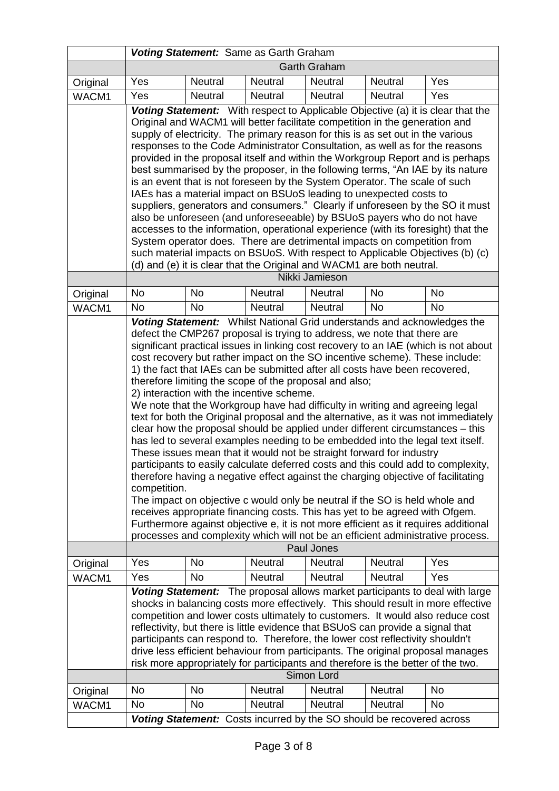|          | Voting Statement: Same as Garth Graham                                                                                                                                                                                                                                                                                                                                                                                                                                                                                                                                                                                                                                                                                                                                                                                                                                                                                                                                                                                                                                                                                                                                                                                                                                                                                                                                                                                                                                          |                     |                                                                       |                |                |           |
|----------|---------------------------------------------------------------------------------------------------------------------------------------------------------------------------------------------------------------------------------------------------------------------------------------------------------------------------------------------------------------------------------------------------------------------------------------------------------------------------------------------------------------------------------------------------------------------------------------------------------------------------------------------------------------------------------------------------------------------------------------------------------------------------------------------------------------------------------------------------------------------------------------------------------------------------------------------------------------------------------------------------------------------------------------------------------------------------------------------------------------------------------------------------------------------------------------------------------------------------------------------------------------------------------------------------------------------------------------------------------------------------------------------------------------------------------------------------------------------------------|---------------------|-----------------------------------------------------------------------|----------------|----------------|-----------|
|          |                                                                                                                                                                                                                                                                                                                                                                                                                                                                                                                                                                                                                                                                                                                                                                                                                                                                                                                                                                                                                                                                                                                                                                                                                                                                                                                                                                                                                                                                                 | <b>Garth Graham</b> |                                                                       |                |                |           |
| Original | Yes                                                                                                                                                                                                                                                                                                                                                                                                                                                                                                                                                                                                                                                                                                                                                                                                                                                                                                                                                                                                                                                                                                                                                                                                                                                                                                                                                                                                                                                                             | Neutral             | Neutral                                                               | <b>Neutral</b> | Neutral        | Yes       |
| WACM1    | Yes                                                                                                                                                                                                                                                                                                                                                                                                                                                                                                                                                                                                                                                                                                                                                                                                                                                                                                                                                                                                                                                                                                                                                                                                                                                                                                                                                                                                                                                                             | <b>Neutral</b>      | <b>Neutral</b>                                                        | <b>Neutral</b> | <b>Neutral</b> | Yes       |
|          | Voting Statement: With respect to Applicable Objective (a) it is clear that the<br>Original and WACM1 will better facilitate competition in the generation and<br>supply of electricity. The primary reason for this is as set out in the various<br>responses to the Code Administrator Consultation, as well as for the reasons<br>provided in the proposal itself and within the Workgroup Report and is perhaps<br>best summarised by the proposer, in the following terms, "An IAE by its nature<br>is an event that is not foreseen by the System Operator. The scale of such<br>IAEs has a material impact on BSUoS leading to unexpected costs to<br>suppliers, generators and consumers." Clearly if unforeseen by the SO it must<br>also be unforeseen (and unforeseeable) by BSUoS payers who do not have<br>accesses to the information, operational experience (with its foresight) that the<br>System operator does. There are detrimental impacts on competition from<br>such material impacts on BSUoS. With respect to Applicable Objectives (b) (c)<br>(d) and (e) it is clear that the Original and WACM1 are both neutral.                                                                                                                                                                                                                                                                                                                                  |                     |                                                                       |                |                |           |
|          |                                                                                                                                                                                                                                                                                                                                                                                                                                                                                                                                                                                                                                                                                                                                                                                                                                                                                                                                                                                                                                                                                                                                                                                                                                                                                                                                                                                                                                                                                 |                     |                                                                       | Nikki Jamieson |                |           |
| Original | No                                                                                                                                                                                                                                                                                                                                                                                                                                                                                                                                                                                                                                                                                                                                                                                                                                                                                                                                                                                                                                                                                                                                                                                                                                                                                                                                                                                                                                                                              | No                  | <b>Neutral</b>                                                        | <b>Neutral</b> | No             | No        |
| WACM1    | <b>No</b>                                                                                                                                                                                                                                                                                                                                                                                                                                                                                                                                                                                                                                                                                                                                                                                                                                                                                                                                                                                                                                                                                                                                                                                                                                                                                                                                                                                                                                                                       | <b>No</b>           | <b>Neutral</b>                                                        | <b>Neutral</b> | <b>No</b>      | <b>No</b> |
|          | Voting Statement: Whilst National Grid understands and acknowledges the<br>defect the CMP267 proposal is trying to address, we note that there are<br>significant practical issues in linking cost recovery to an IAE (which is not about<br>cost recovery but rather impact on the SO incentive scheme). These include:<br>1) the fact that IAEs can be submitted after all costs have been recovered,<br>therefore limiting the scope of the proposal and also;<br>2) interaction with the incentive scheme.<br>We note that the Workgroup have had difficulty in writing and agreeing legal<br>text for both the Original proposal and the alternative, as it was not immediately<br>clear how the proposal should be applied under different circumstances – this<br>has led to several examples needing to be embedded into the legal text itself.<br>These issues mean that it would not be straight forward for industry<br>participants to easily calculate deferred costs and this could add to complexity,<br>therefore having a negative effect against the charging objective of facilitating<br>competition.<br>The impact on objective c would only be neutral if the SO is held whole and<br>receives appropriate financing costs. This has yet to be agreed with Ofgem.<br>Furthermore against objective e, it is not more efficient as it requires additional<br>processes and complexity which will not be an efficient administrative process.<br>Paul Jones |                     |                                                                       |                |                |           |
| Original | Yes                                                                                                                                                                                                                                                                                                                                                                                                                                                                                                                                                                                                                                                                                                                                                                                                                                                                                                                                                                                                                                                                                                                                                                                                                                                                                                                                                                                                                                                                             | No                  | Neutral                                                               | <b>Neutral</b> | Neutral        | Yes       |
| WACM1    | Yes                                                                                                                                                                                                                                                                                                                                                                                                                                                                                                                                                                                                                                                                                                                                                                                                                                                                                                                                                                                                                                                                                                                                                                                                                                                                                                                                                                                                                                                                             | <b>No</b>           | <b>Neutral</b>                                                        | <b>Neutral</b> | Neutral        | Yes       |
|          | Voting Statement: The proposal allows market participants to deal with large<br>shocks in balancing costs more effectively. This should result in more effective<br>competition and lower costs ultimately to customers. It would also reduce cost<br>reflectivity, but there is little evidence that BSUoS can provide a signal that<br>participants can respond to. Therefore, the lower cost reflectivity shouldn't<br>drive less efficient behaviour from participants. The original proposal manages<br>risk more appropriately for participants and therefore is the better of the two.<br>Simon Lord                                                                                                                                                                                                                                                                                                                                                                                                                                                                                                                                                                                                                                                                                                                                                                                                                                                                     |                     |                                                                       |                |                |           |
| Original | <b>No</b>                                                                                                                                                                                                                                                                                                                                                                                                                                                                                                                                                                                                                                                                                                                                                                                                                                                                                                                                                                                                                                                                                                                                                                                                                                                                                                                                                                                                                                                                       | No                  | Neutral                                                               | <b>Neutral</b> | Neutral        | <b>No</b> |
| WACM1    | No                                                                                                                                                                                                                                                                                                                                                                                                                                                                                                                                                                                                                                                                                                                                                                                                                                                                                                                                                                                                                                                                                                                                                                                                                                                                                                                                                                                                                                                                              | No                  | <b>Neutral</b>                                                        | <b>Neutral</b> | <b>Neutral</b> | <b>No</b> |
|          |                                                                                                                                                                                                                                                                                                                                                                                                                                                                                                                                                                                                                                                                                                                                                                                                                                                                                                                                                                                                                                                                                                                                                                                                                                                                                                                                                                                                                                                                                 |                     | Voting Statement: Costs incurred by the SO should be recovered across |                |                |           |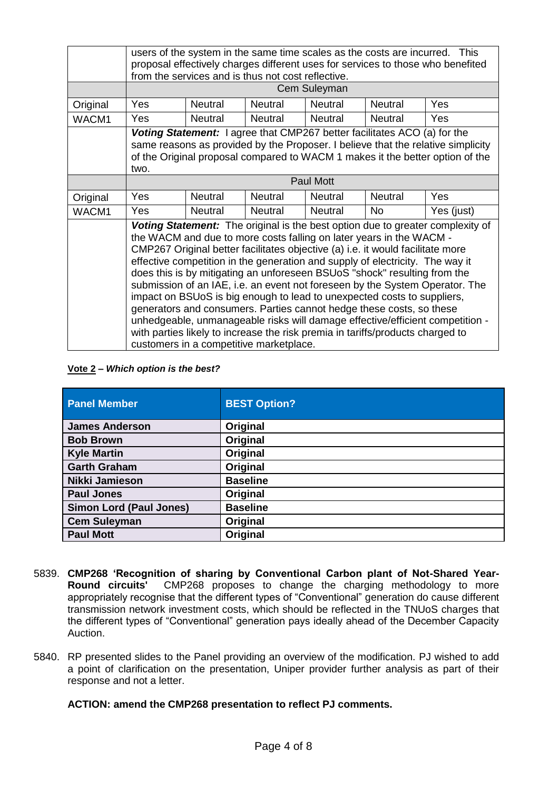|          | users of the system in the same time scales as the costs are incurred. This<br>proposal effectively charges different uses for services to those who benefited<br>from the services and is thus not cost reflective.                                                                                                                                                                                                                                                                                                                                                                                                                                                                                                                                                                                                                                          |                |                |                |                |            |
|----------|---------------------------------------------------------------------------------------------------------------------------------------------------------------------------------------------------------------------------------------------------------------------------------------------------------------------------------------------------------------------------------------------------------------------------------------------------------------------------------------------------------------------------------------------------------------------------------------------------------------------------------------------------------------------------------------------------------------------------------------------------------------------------------------------------------------------------------------------------------------|----------------|----------------|----------------|----------------|------------|
|          |                                                                                                                                                                                                                                                                                                                                                                                                                                                                                                                                                                                                                                                                                                                                                                                                                                                               |                |                | Cem Suleyman   |                |            |
| Original | Yes                                                                                                                                                                                                                                                                                                                                                                                                                                                                                                                                                                                                                                                                                                                                                                                                                                                           | <b>Neutral</b> | <b>Neutral</b> | <b>Neutral</b> | <b>Neutral</b> | Yes        |
| WACM1    | Yes                                                                                                                                                                                                                                                                                                                                                                                                                                                                                                                                                                                                                                                                                                                                                                                                                                                           | <b>Neutral</b> | <b>Neutral</b> | <b>Neutral</b> | <b>Neutral</b> | <b>Yes</b> |
|          | Voting Statement: I agree that CMP267 better facilitates ACO (a) for the<br>same reasons as provided by the Proposer. I believe that the relative simplicity<br>of the Original proposal compared to WACM 1 makes it the better option of the<br>two.                                                                                                                                                                                                                                                                                                                                                                                                                                                                                                                                                                                                         |                |                |                |                |            |
|          | <b>Paul Mott</b>                                                                                                                                                                                                                                                                                                                                                                                                                                                                                                                                                                                                                                                                                                                                                                                                                                              |                |                |                |                |            |
| Original | <b>Yes</b>                                                                                                                                                                                                                                                                                                                                                                                                                                                                                                                                                                                                                                                                                                                                                                                                                                                    | <b>Neutral</b> | <b>Neutral</b> | <b>Neutral</b> | <b>Neutral</b> | <b>Yes</b> |
| WACM1    | <b>Yes</b>                                                                                                                                                                                                                                                                                                                                                                                                                                                                                                                                                                                                                                                                                                                                                                                                                                                    | <b>Neutral</b> | <b>Neutral</b> | <b>Neutral</b> | <b>No</b>      | Yes (just) |
|          | <b>Voting Statement:</b> The original is the best option due to greater complexity of<br>the WACM and due to more costs falling on later years in the WACM -<br>CMP267 Original better facilitates objective (a) i.e. it would facilitate more<br>effective competition in the generation and supply of electricity. The way it<br>does this is by mitigating an unforeseen BSUoS "shock" resulting from the<br>submission of an IAE, i.e. an event not foreseen by the System Operator. The<br>impact on BSUoS is big enough to lead to unexpected costs to suppliers,<br>generators and consumers. Parties cannot hedge these costs, so these<br>unhedgeable, unmanageable risks will damage effective/efficient competition -<br>with parties likely to increase the risk premia in tariffs/products charged to<br>customers in a competitive marketplace. |                |                |                |                |            |

#### **Vote 2 –** *Which option is the best?*

| <b>Panel Member</b>            | <b>BEST Option?</b> |
|--------------------------------|---------------------|
| <b>James Anderson</b>          | Original            |
| <b>Bob Brown</b>               | Original            |
| <b>Kyle Martin</b>             | Original            |
| <b>Garth Graham</b>            | Original            |
| Nikki Jamieson                 | <b>Baseline</b>     |
| <b>Paul Jones</b>              | Original            |
| <b>Simon Lord (Paul Jones)</b> | <b>Baseline</b>     |
| <b>Cem Suleyman</b>            | Original            |
| <b>Paul Mott</b>               | Original            |

- 5839. **CMP268 'Recognition of sharing by Conventional Carbon plant of Not-Shared Year-Round circuits'** CMP268 proposes to change the charging methodology to more appropriately recognise that the different types of "Conventional" generation do cause different transmission network investment costs, which should be reflected in the TNUoS charges that the different types of "Conventional" generation pays ideally ahead of the December Capacity Auction.
- 5840. RP presented slides to the Panel providing an overview of the modification. PJ wished to add a point of clarification on the presentation, Uniper provider further analysis as part of their response and not a letter.

#### **ACTION: amend the CMP268 presentation to reflect PJ comments.**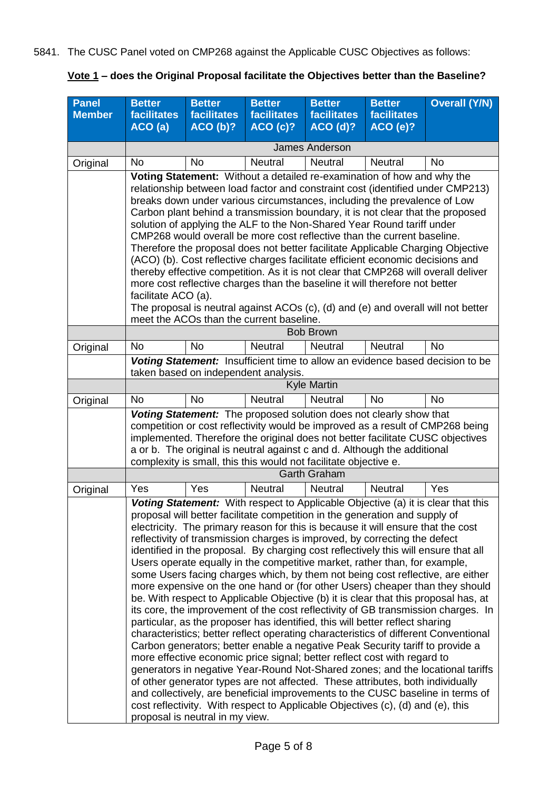5841. The CUSC Panel voted on CMP268 against the Applicable CUSC Objectives as follows:

|  | <u>Vote 1</u> – does the Original Proposal facilitate the Objectives better than the Baseline? |  |  |
|--|------------------------------------------------------------------------------------------------|--|--|
|  |                                                                                                |  |  |

| <b>Panel</b><br><b>Member</b> | <b>Better</b><br>facilitates<br>ACO(a)                                                                                                                                                                                                                                                                                                                                                                                                                                                                                                                                                                                                                                                                                                                                                                                                                                                                                                                                        | <b>Better</b><br><b>facilitates</b><br>ACO(b)? | <b>Better</b><br>facilitates<br>ACO(c)?                                                                                                                                                                                                                                                                                                                                                                                                                                                                                                                                                                                                                                                                                                       | <b>Better</b><br>facilitates<br>ACO(d)? | <b>Better</b><br><b>facilitates</b><br>ACO(e)? | <b>Overall (Y/N)</b>                                                                                                                                                                                                                                                                                                                                                                                                                                                                                                                                                                                                                                                                                                                                                             |
|-------------------------------|-------------------------------------------------------------------------------------------------------------------------------------------------------------------------------------------------------------------------------------------------------------------------------------------------------------------------------------------------------------------------------------------------------------------------------------------------------------------------------------------------------------------------------------------------------------------------------------------------------------------------------------------------------------------------------------------------------------------------------------------------------------------------------------------------------------------------------------------------------------------------------------------------------------------------------------------------------------------------------|------------------------------------------------|-----------------------------------------------------------------------------------------------------------------------------------------------------------------------------------------------------------------------------------------------------------------------------------------------------------------------------------------------------------------------------------------------------------------------------------------------------------------------------------------------------------------------------------------------------------------------------------------------------------------------------------------------------------------------------------------------------------------------------------------------|-----------------------------------------|------------------------------------------------|----------------------------------------------------------------------------------------------------------------------------------------------------------------------------------------------------------------------------------------------------------------------------------------------------------------------------------------------------------------------------------------------------------------------------------------------------------------------------------------------------------------------------------------------------------------------------------------------------------------------------------------------------------------------------------------------------------------------------------------------------------------------------------|
|                               |                                                                                                                                                                                                                                                                                                                                                                                                                                                                                                                                                                                                                                                                                                                                                                                                                                                                                                                                                                               |                                                |                                                                                                                                                                                                                                                                                                                                                                                                                                                                                                                                                                                                                                                                                                                                               | <b>James Anderson</b>                   |                                                |                                                                                                                                                                                                                                                                                                                                                                                                                                                                                                                                                                                                                                                                                                                                                                                  |
| Original                      | <b>No</b>                                                                                                                                                                                                                                                                                                                                                                                                                                                                                                                                                                                                                                                                                                                                                                                                                                                                                                                                                                     | <b>No</b>                                      | Neutral                                                                                                                                                                                                                                                                                                                                                                                                                                                                                                                                                                                                                                                                                                                                       | Neutral                                 | <b>Neutral</b>                                 | No                                                                                                                                                                                                                                                                                                                                                                                                                                                                                                                                                                                                                                                                                                                                                                               |
|                               | Voting Statement: Without a detailed re-examination of how and why the<br>relationship between load factor and constraint cost (identified under CMP213)<br>breaks down under various circumstances, including the prevalence of Low<br>Carbon plant behind a transmission boundary, it is not clear that the proposed<br>solution of applying the ALF to the Non-Shared Year Round tariff under<br>CMP268 would overall be more cost reflective than the current baseline.<br>Therefore the proposal does not better facilitate Applicable Charging Objective<br>(ACO) (b). Cost reflective charges facilitate efficient economic decisions and<br>thereby effective competition. As it is not clear that CMP268 will overall deliver<br>more cost reflective charges than the baseline it will therefore not better<br>facilitate ACO (a).<br>The proposal is neutral against ACOs (c), (d) and (e) and overall will not better<br>meet the ACOs than the current baseline. |                                                |                                                                                                                                                                                                                                                                                                                                                                                                                                                                                                                                                                                                                                                                                                                                               |                                         |                                                |                                                                                                                                                                                                                                                                                                                                                                                                                                                                                                                                                                                                                                                                                                                                                                                  |
|                               |                                                                                                                                                                                                                                                                                                                                                                                                                                                                                                                                                                                                                                                                                                                                                                                                                                                                                                                                                                               |                                                |                                                                                                                                                                                                                                                                                                                                                                                                                                                                                                                                                                                                                                                                                                                                               | <b>Bob Brown</b>                        |                                                |                                                                                                                                                                                                                                                                                                                                                                                                                                                                                                                                                                                                                                                                                                                                                                                  |
| Original                      | <b>No</b>                                                                                                                                                                                                                                                                                                                                                                                                                                                                                                                                                                                                                                                                                                                                                                                                                                                                                                                                                                     | <b>No</b>                                      | <b>Neutral</b>                                                                                                                                                                                                                                                                                                                                                                                                                                                                                                                                                                                                                                                                                                                                | <b>Neutral</b>                          | <b>Neutral</b>                                 | <b>No</b>                                                                                                                                                                                                                                                                                                                                                                                                                                                                                                                                                                                                                                                                                                                                                                        |
|                               | Voting Statement: Insufficient time to allow an evidence based decision to be<br>taken based on independent analysis.<br><b>Kyle Martin</b>                                                                                                                                                                                                                                                                                                                                                                                                                                                                                                                                                                                                                                                                                                                                                                                                                                   |                                                |                                                                                                                                                                                                                                                                                                                                                                                                                                                                                                                                                                                                                                                                                                                                               |                                         |                                                |                                                                                                                                                                                                                                                                                                                                                                                                                                                                                                                                                                                                                                                                                                                                                                                  |
| Original                      | <b>No</b>                                                                                                                                                                                                                                                                                                                                                                                                                                                                                                                                                                                                                                                                                                                                                                                                                                                                                                                                                                     | <b>No</b>                                      | <b>Neutral</b>                                                                                                                                                                                                                                                                                                                                                                                                                                                                                                                                                                                                                                                                                                                                | <b>Neutral</b>                          | <b>No</b>                                      | <b>No</b>                                                                                                                                                                                                                                                                                                                                                                                                                                                                                                                                                                                                                                                                                                                                                                        |
|                               | Voting Statement: The proposed solution does not clearly show that<br>competition or cost reflectivity would be improved as a result of CMP268 being<br>implemented. Therefore the original does not better facilitate CUSC objectives<br>a or b. The original is neutral against c and d. Although the additional<br>complexity is small, this this would not facilitate objective e.                                                                                                                                                                                                                                                                                                                                                                                                                                                                                                                                                                                        |                                                |                                                                                                                                                                                                                                                                                                                                                                                                                                                                                                                                                                                                                                                                                                                                               |                                         |                                                |                                                                                                                                                                                                                                                                                                                                                                                                                                                                                                                                                                                                                                                                                                                                                                                  |
|                               |                                                                                                                                                                                                                                                                                                                                                                                                                                                                                                                                                                                                                                                                                                                                                                                                                                                                                                                                                                               |                                                |                                                                                                                                                                                                                                                                                                                                                                                                                                                                                                                                                                                                                                                                                                                                               | <b>Garth Graham</b>                     |                                                |                                                                                                                                                                                                                                                                                                                                                                                                                                                                                                                                                                                                                                                                                                                                                                                  |
| Original                      | Yes                                                                                                                                                                                                                                                                                                                                                                                                                                                                                                                                                                                                                                                                                                                                                                                                                                                                                                                                                                           | Yes                                            | <b>Neutral</b>                                                                                                                                                                                                                                                                                                                                                                                                                                                                                                                                                                                                                                                                                                                                | <b>Neutral</b>                          | <b>Neutral</b>                                 | Yes                                                                                                                                                                                                                                                                                                                                                                                                                                                                                                                                                                                                                                                                                                                                                                              |
|                               |                                                                                                                                                                                                                                                                                                                                                                                                                                                                                                                                                                                                                                                                                                                                                                                                                                                                                                                                                                               | proposal is neutral in my view.                | proposal will better facilitate competition in the generation and supply of<br>electricity. The primary reason for this is because it will ensure that the cost<br>reflectivity of transmission charges is improved, by correcting the defect<br>Users operate equally in the competitive market, rather than, for example,<br>particular, as the proposer has identified, this will better reflect sharing<br>Carbon generators; better enable a negative Peak Security tariff to provide a<br>more effective economic price signal; better reflect cost with regard to<br>of other generator types are not affected. These attributes, both individually<br>cost reflectivity. With respect to Applicable Objectives (c), (d) and (e), this |                                         |                                                | Voting Statement: With respect to Applicable Objective (a) it is clear that this<br>identified in the proposal. By charging cost reflectively this will ensure that all<br>some Users facing charges which, by them not being cost reflective, are either<br>more expensive on the one hand or (for other Users) cheaper than they should<br>be. With respect to Applicable Objective (b) it is clear that this proposal has, at<br>its core, the improvement of the cost reflectivity of GB transmission charges. In<br>characteristics; better reflect operating characteristics of different Conventional<br>generators in negative Year-Round Not-Shared zones; and the locational tariffs<br>and collectively, are beneficial improvements to the CUSC baseline in terms of |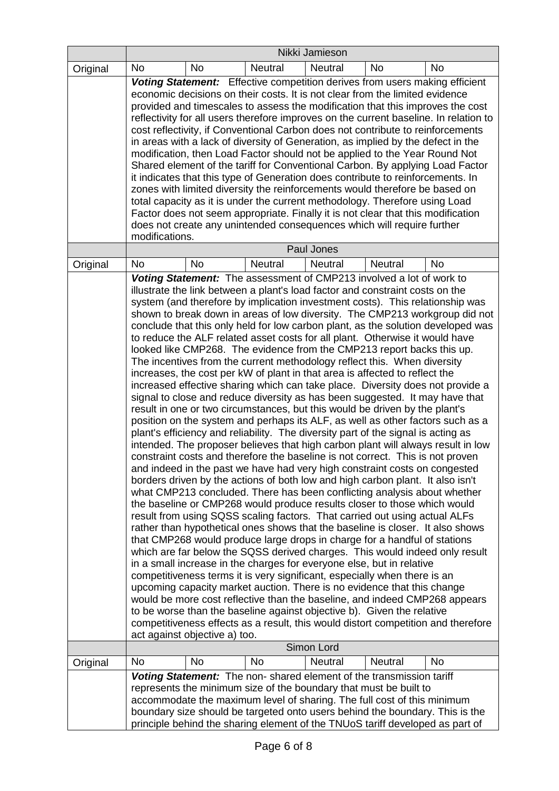|          |                                                                                                                                                                                                                                                                                                                                                                                                                                                                                                                                                                                                                                                                                                                                                                                                                                                                                                                                                                                                                                                                                                                                                                                                                                                                                                                                                                                                                                                                                                                                                                                                                                                                                                                                                                                                                                                                                                                                                                                                                                                                                                                                                                                                                                                                                                                                                                                                                                                                                                 |           |                                                                                                                                                                                                                                                                                                       | Nikki Jamieson |                |                                                                              |
|----------|-------------------------------------------------------------------------------------------------------------------------------------------------------------------------------------------------------------------------------------------------------------------------------------------------------------------------------------------------------------------------------------------------------------------------------------------------------------------------------------------------------------------------------------------------------------------------------------------------------------------------------------------------------------------------------------------------------------------------------------------------------------------------------------------------------------------------------------------------------------------------------------------------------------------------------------------------------------------------------------------------------------------------------------------------------------------------------------------------------------------------------------------------------------------------------------------------------------------------------------------------------------------------------------------------------------------------------------------------------------------------------------------------------------------------------------------------------------------------------------------------------------------------------------------------------------------------------------------------------------------------------------------------------------------------------------------------------------------------------------------------------------------------------------------------------------------------------------------------------------------------------------------------------------------------------------------------------------------------------------------------------------------------------------------------------------------------------------------------------------------------------------------------------------------------------------------------------------------------------------------------------------------------------------------------------------------------------------------------------------------------------------------------------------------------------------------------------------------------------------------------|-----------|-------------------------------------------------------------------------------------------------------------------------------------------------------------------------------------------------------------------------------------------------------------------------------------------------------|----------------|----------------|------------------------------------------------------------------------------|
| Original | <b>No</b>                                                                                                                                                                                                                                                                                                                                                                                                                                                                                                                                                                                                                                                                                                                                                                                                                                                                                                                                                                                                                                                                                                                                                                                                                                                                                                                                                                                                                                                                                                                                                                                                                                                                                                                                                                                                                                                                                                                                                                                                                                                                                                                                                                                                                                                                                                                                                                                                                                                                                       | <b>No</b> | <b>Neutral</b>                                                                                                                                                                                                                                                                                        | <b>Neutral</b> | <b>No</b>      | <b>No</b>                                                                    |
|          | <b>Voting Statement:</b> Effective competition derives from users making efficient<br>economic decisions on their costs. It is not clear from the limited evidence<br>provided and timescales to assess the modification that this improves the cost<br>reflectivity for all users therefore improves on the current baseline. In relation to<br>cost reflectivity, if Conventional Carbon does not contribute to reinforcements<br>in areas with a lack of diversity of Generation, as implied by the defect in the<br>modification, then Load Factor should not be applied to the Year Round Not<br>Shared element of the tariff for Conventional Carbon. By applying Load Factor<br>it indicates that this type of Generation does contribute to reinforcements. In<br>zones with limited diversity the reinforcements would therefore be based on<br>total capacity as it is under the current methodology. Therefore using Load<br>Factor does not seem appropriate. Finally it is not clear that this modification<br>does not create any unintended consequences which will require further<br>modifications.                                                                                                                                                                                                                                                                                                                                                                                                                                                                                                                                                                                                                                                                                                                                                                                                                                                                                                                                                                                                                                                                                                                                                                                                                                                                                                                                                                            |           |                                                                                                                                                                                                                                                                                                       |                |                |                                                                              |
|          |                                                                                                                                                                                                                                                                                                                                                                                                                                                                                                                                                                                                                                                                                                                                                                                                                                                                                                                                                                                                                                                                                                                                                                                                                                                                                                                                                                                                                                                                                                                                                                                                                                                                                                                                                                                                                                                                                                                                                                                                                                                                                                                                                                                                                                                                                                                                                                                                                                                                                                 |           |                                                                                                                                                                                                                                                                                                       | Paul Jones     |                |                                                                              |
| Original | <b>No</b>                                                                                                                                                                                                                                                                                                                                                                                                                                                                                                                                                                                                                                                                                                                                                                                                                                                                                                                                                                                                                                                                                                                                                                                                                                                                                                                                                                                                                                                                                                                                                                                                                                                                                                                                                                                                                                                                                                                                                                                                                                                                                                                                                                                                                                                                                                                                                                                                                                                                                       | <b>No</b> | <b>Neutral</b>                                                                                                                                                                                                                                                                                        | <b>Neutral</b> | <b>Neutral</b> | No                                                                           |
|          | Voting Statement: The assessment of CMP213 involved a lot of work to<br>illustrate the link between a plant's load factor and constraint costs on the<br>system (and therefore by implication investment costs). This relationship was<br>shown to break down in areas of low diversity. The CMP213 workgroup did not<br>conclude that this only held for low carbon plant, as the solution developed was<br>to reduce the ALF related asset costs for all plant. Otherwise it would have<br>looked like CMP268. The evidence from the CMP213 report backs this up.<br>The incentives from the current methodology reflect this. When diversity<br>increases, the cost per kW of plant in that area is affected to reflect the<br>increased effective sharing which can take place. Diversity does not provide a<br>signal to close and reduce diversity as has been suggested. It may have that<br>result in one or two circumstances, but this would be driven by the plant's<br>position on the system and perhaps its ALF, as well as other factors such as a<br>plant's efficiency and reliability. The diversity part of the signal is acting as<br>intended. The proposer believes that high carbon plant will always result in low<br>constraint costs and therefore the baseline is not correct. This is not proven<br>and indeed in the past we have had very high constraint costs on congested<br>borders driven by the actions of both low and high carbon plant. It also isn't<br>what CMP213 concluded. There has been conflicting analysis about whether<br>the baseline or CMP268 would produce results closer to those which would<br>result from using SQSS scaling factors. That carried out using actual ALFs<br>rather than hypothetical ones shows that the baseline is closer. It also shows<br>that CMP268 would produce large drops in charge for a handful of stations<br>which are far below the SQSS derived charges. This would indeed only result<br>in a small increase in the charges for everyone else, but in relative<br>competitiveness terms it is very significant, especially when there is an<br>upcoming capacity market auction. There is no evidence that this change<br>would be more cost reflective than the baseline, and indeed CMP268 appears<br>to be worse than the baseline against objective b). Given the relative<br>competitiveness effects as a result, this would distort competition and therefore<br>act against objective a) too. |           |                                                                                                                                                                                                                                                                                                       |                |                |                                                                              |
| Original | <b>No</b>                                                                                                                                                                                                                                                                                                                                                                                                                                                                                                                                                                                                                                                                                                                                                                                                                                                                                                                                                                                                                                                                                                                                                                                                                                                                                                                                                                                                                                                                                                                                                                                                                                                                                                                                                                                                                                                                                                                                                                                                                                                                                                                                                                                                                                                                                                                                                                                                                                                                                       | <b>No</b> | No.                                                                                                                                                                                                                                                                                                   | <b>Neutral</b> | <b>Neutral</b> | No.                                                                          |
|          |                                                                                                                                                                                                                                                                                                                                                                                                                                                                                                                                                                                                                                                                                                                                                                                                                                                                                                                                                                                                                                                                                                                                                                                                                                                                                                                                                                                                                                                                                                                                                                                                                                                                                                                                                                                                                                                                                                                                                                                                                                                                                                                                                                                                                                                                                                                                                                                                                                                                                                 |           | Voting Statement: The non- shared element of the transmission tariff<br>represents the minimum size of the boundary that must be built to<br>accommodate the maximum level of sharing. The full cost of this minimum<br>principle behind the sharing element of the TNUoS tariff developed as part of |                |                | boundary size should be targeted onto users behind the boundary. This is the |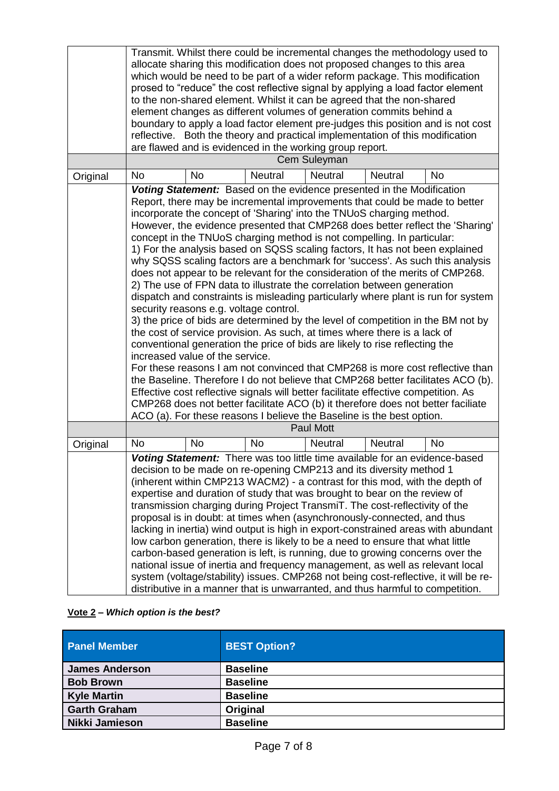|          | Transmit. Whilst there could be incremental changes the methodology used to<br>allocate sharing this modification does not proposed changes to this area<br>which would be need to be part of a wider reform package. This modification<br>prosed to "reduce" the cost reflective signal by applying a load factor element<br>to the non-shared element. Whilst it can be agreed that the non-shared<br>element changes as different volumes of generation commits behind a<br>boundary to apply a load factor element pre-judges this position and is not cost<br>reflective. Both the theory and practical implementation of this modification<br>are flawed and is evidenced in the working group report.<br>Cem Suleyman                                                                                                                                                                                                                                                                                                                                                                                                                                                                                                                                                                                                                                                                                                                                                                                                                                  |           |                                                                                                                                                                                                                                                                                                                                                                                                                                                                                                                                                                                                                                                                                                                               |                  |                |                                                                                                                                                                                                                                                           |
|----------|---------------------------------------------------------------------------------------------------------------------------------------------------------------------------------------------------------------------------------------------------------------------------------------------------------------------------------------------------------------------------------------------------------------------------------------------------------------------------------------------------------------------------------------------------------------------------------------------------------------------------------------------------------------------------------------------------------------------------------------------------------------------------------------------------------------------------------------------------------------------------------------------------------------------------------------------------------------------------------------------------------------------------------------------------------------------------------------------------------------------------------------------------------------------------------------------------------------------------------------------------------------------------------------------------------------------------------------------------------------------------------------------------------------------------------------------------------------------------------------------------------------------------------------------------------------|-----------|-------------------------------------------------------------------------------------------------------------------------------------------------------------------------------------------------------------------------------------------------------------------------------------------------------------------------------------------------------------------------------------------------------------------------------------------------------------------------------------------------------------------------------------------------------------------------------------------------------------------------------------------------------------------------------------------------------------------------------|------------------|----------------|-----------------------------------------------------------------------------------------------------------------------------------------------------------------------------------------------------------------------------------------------------------|
| Original | <b>No</b>                                                                                                                                                                                                                                                                                                                                                                                                                                                                                                                                                                                                                                                                                                                                                                                                                                                                                                                                                                                                                                                                                                                                                                                                                                                                                                                                                                                                                                                                                                                                                     | <b>No</b> | <b>Neutral</b>                                                                                                                                                                                                                                                                                                                                                                                                                                                                                                                                                                                                                                                                                                                | <b>Neutral</b>   | <b>Neutral</b> | <b>No</b>                                                                                                                                                                                                                                                 |
|          | Voting Statement: Based on the evidence presented in the Modification<br>Report, there may be incremental improvements that could be made to better<br>incorporate the concept of 'Sharing' into the TNUoS charging method.<br>However, the evidence presented that CMP268 does better reflect the 'Sharing'<br>concept in the TNUoS charging method is not compelling. In particular:<br>1) For the analysis based on SQSS scaling factors, It has not been explained<br>why SQSS scaling factors are a benchmark for 'success'. As such this analysis<br>does not appear to be relevant for the consideration of the merits of CMP268.<br>2) The use of FPN data to illustrate the correlation between generation<br>dispatch and constraints is misleading particularly where plant is run for system<br>security reasons e.g. voltage control.<br>3) the price of bids are determined by the level of competition in the BM not by<br>the cost of service provision. As such, at times where there is a lack of<br>conventional generation the price of bids are likely to rise reflecting the<br>increased value of the service.<br>For these reasons I am not convinced that CMP268 is more cost reflective than<br>the Baseline. Therefore I do not believe that CMP268 better facilitates ACO (b).<br>Effective cost reflective signals will better facilitate effective competition. As<br>CMP268 does not better facilitate ACO (b) it therefore does not better faciliate<br>ACO (a). For these reasons I believe the Baseline is the best option. |           |                                                                                                                                                                                                                                                                                                                                                                                                                                                                                                                                                                                                                                                                                                                               |                  |                |                                                                                                                                                                                                                                                           |
|          |                                                                                                                                                                                                                                                                                                                                                                                                                                                                                                                                                                                                                                                                                                                                                                                                                                                                                                                                                                                                                                                                                                                                                                                                                                                                                                                                                                                                                                                                                                                                                               |           |                                                                                                                                                                                                                                                                                                                                                                                                                                                                                                                                                                                                                                                                                                                               | <b>Paul Mott</b> |                |                                                                                                                                                                                                                                                           |
| Original | <b>No</b>                                                                                                                                                                                                                                                                                                                                                                                                                                                                                                                                                                                                                                                                                                                                                                                                                                                                                                                                                                                                                                                                                                                                                                                                                                                                                                                                                                                                                                                                                                                                                     | <b>No</b> | <b>No</b>                                                                                                                                                                                                                                                                                                                                                                                                                                                                                                                                                                                                                                                                                                                     | <b>Neutral</b>   | <b>Neutral</b> | <b>No</b>                                                                                                                                                                                                                                                 |
|          |                                                                                                                                                                                                                                                                                                                                                                                                                                                                                                                                                                                                                                                                                                                                                                                                                                                                                                                                                                                                                                                                                                                                                                                                                                                                                                                                                                                                                                                                                                                                                               |           | Voting Statement: There was too little time available for an evidence-based<br>decision to be made on re-opening CMP213 and its diversity method 1<br>(inherent within CMP213 WACM2) - a contrast for this mod, with the depth of<br>expertise and duration of study that was brought to bear on the review of<br>transmission charging during Project TransmiT. The cost-reflectivity of the<br>proposal is in doubt: at times when (asynchronously-connected, and thus<br>low carbon generation, there is likely to be a need to ensure that what little<br>carbon-based generation is left, is running, due to growing concerns over the<br>distributive in a manner that is unwarranted, and thus harmful to competition. |                  |                | lacking in inertia) wind output is high in export-constrained areas with abundant<br>national issue of inertia and frequency management, as well as relevant local<br>system (voltage/stability) issues. CMP268 not being cost-reflective, it will be re- |

# **Vote 2 –** *Which option is the best?*

| <b>Panel Member</b>   | <b>BEST Option?</b> |
|-----------------------|---------------------|
| <b>James Anderson</b> | <b>Baseline</b>     |
| <b>Bob Brown</b>      | <b>Baseline</b>     |
| <b>Kyle Martin</b>    | <b>Baseline</b>     |
| <b>Garth Graham</b>   | Original            |
| Nikki Jamieson        | <b>Baseline</b>     |